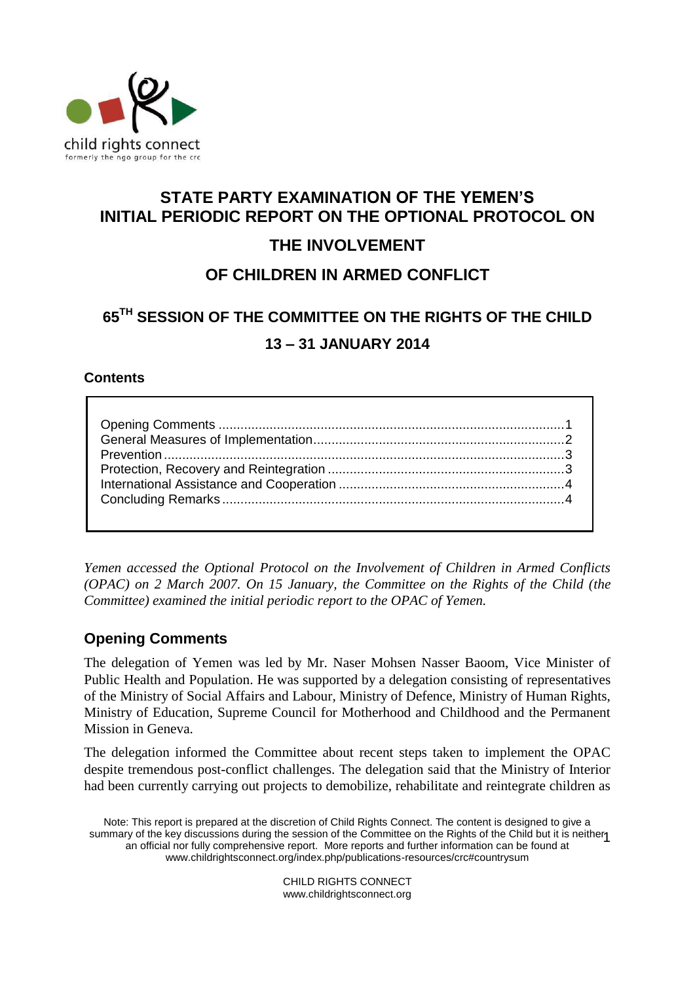

# **STATE PARTY EXAMINATION OF THE YEMEN'S INITIAL PERIODIC REPORT ON THE OPTIONAL PROTOCOL ON THE INVOLVEMENT**

# **OF CHILDREN IN ARMED CONFLICT**

# **65TH SESSION OF THE COMMITTEE ON THE RIGHTS OF THE CHILD 13 – 31 JANUARY 2014**

# **Contents**

*Yemen accessed the Optional Protocol on the Involvement of Children in Armed Conflicts (OPAC) on 2 March 2007. On 15 January, the Committee on the Rights of the Child (the Committee) examined the initial periodic report to the OPAC of Yemen.*

# <span id="page-0-0"></span>**Opening Comments**

The delegation of Yemen was led by Mr. Naser Mohsen Nasser Baoom, Vice Minister of Public Health and Population. He was supported by a delegation consisting of representatives of the Ministry of Social Affairs and Labour, Ministry of Defence, Ministry of Human Rights, Ministry of Education, Supreme Council for Motherhood and Childhood and the Permanent Mission in Geneva.

The delegation informed the Committee about recent steps taken to implement the OPAC despite tremendous post-conflict challenges. The delegation said that the Ministry of Interior had been currently carrying out projects to demobilize, rehabilitate and reintegrate children as

Note: This report is prepared at the discretion of Child Rights Connect. The content is designed to give a summary of the key discussions during the session of the Committee on the Rights of the Child but it is neither 1<br>1956 on official nor fully comprehensive report. More reports and further information asp he found at an official nor fully comprehensive report. More reports and further information can be found at [www.childrightsconnect.org/index.php/publications-resources/crc#countrysum](http://www.childrightsconnect.org/index.php/publications-resources/crc#countrysum)

> CHILD RIGHTS CONNECT www.childrightsconnect.org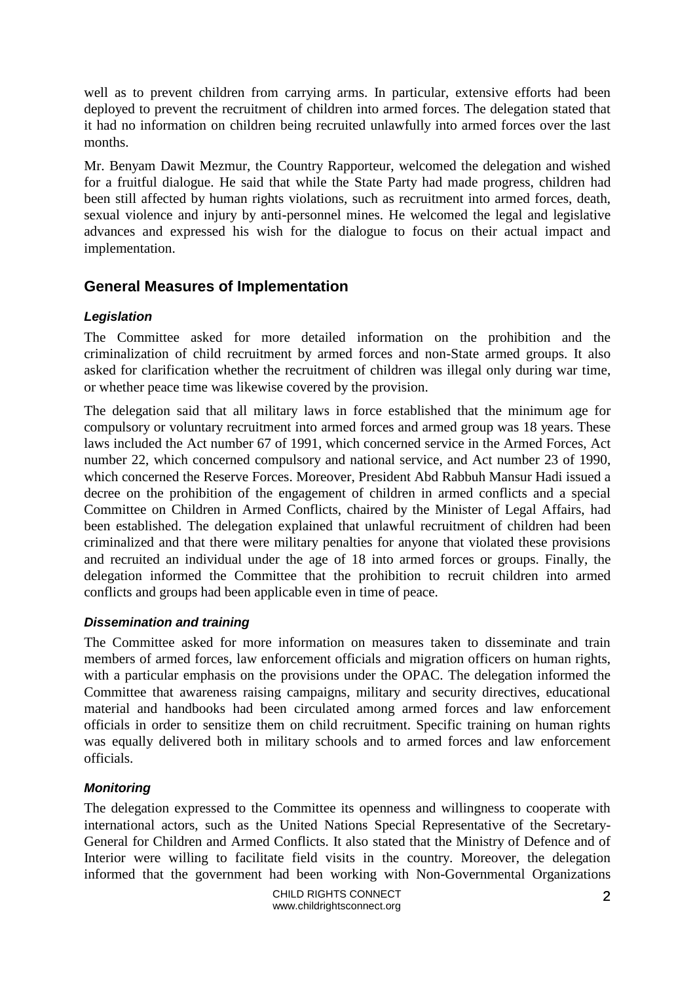well as to prevent children from carrying arms. In particular, extensive efforts had been deployed to prevent the recruitment of children into armed forces. The delegation stated that it had no information on children being recruited unlawfully into armed forces over the last months.

Mr. Benyam Dawit Mezmur, the Country Rapporteur, welcomed the delegation and wished for a fruitful dialogue. He said that while the State Party had made progress, children had been still affected by human rights violations, such as recruitment into armed forces, death, sexual violence and injury by anti-personnel mines. He welcomed the legal and legislative advances and expressed his wish for the dialogue to focus on their actual impact and implementation.

# <span id="page-1-0"></span>**General Measures of Implementation**

## *Legislation*

The Committee asked for more detailed information on the prohibition and the criminalization of child recruitment by armed forces and non-State armed groups. It also asked for clarification whether the recruitment of children was illegal only during war time, or whether peace time was likewise covered by the provision.

The delegation said that all military laws in force established that the minimum age for compulsory or voluntary recruitment into armed forces and armed group was 18 years. These laws included the Act number 67 of 1991, which concerned service in the Armed Forces, Act number 22, which concerned compulsory and national service, and Act number 23 of 1990, which concerned the Reserve Forces. Moreover, President Abd Rabbuh Mansur Hadi issued a decree on the prohibition of the engagement of children in armed conflicts and a special Committee on Children in Armed Conflicts, chaired by the Minister of Legal Affairs, had been established. The delegation explained that unlawful recruitment of children had been criminalized and that there were military penalties for anyone that violated these provisions and recruited an individual under the age of 18 into armed forces or groups. Finally, the delegation informed the Committee that the prohibition to recruit children into armed conflicts and groups had been applicable even in time of peace.

## *Dissemination and training*

The Committee asked for more information on measures taken to disseminate and train members of armed forces, law enforcement officials and migration officers on human rights, with a particular emphasis on the provisions under the OPAC. The delegation informed the Committee that awareness raising campaigns, military and security directives, educational material and handbooks had been circulated among armed forces and law enforcement officials in order to sensitize them on child recruitment. Specific training on human rights was equally delivered both in military schools and to armed forces and law enforcement officials.

## *Monitoring*

The delegation expressed to the Committee its openness and willingness to cooperate with international actors, such as the United Nations Special Representative of the Secretary-General for Children and Armed Conflicts. It also stated that the Ministry of Defence and of Interior were willing to facilitate field visits in the country. Moreover, the delegation informed that the government had been working with Non-Governmental Organizations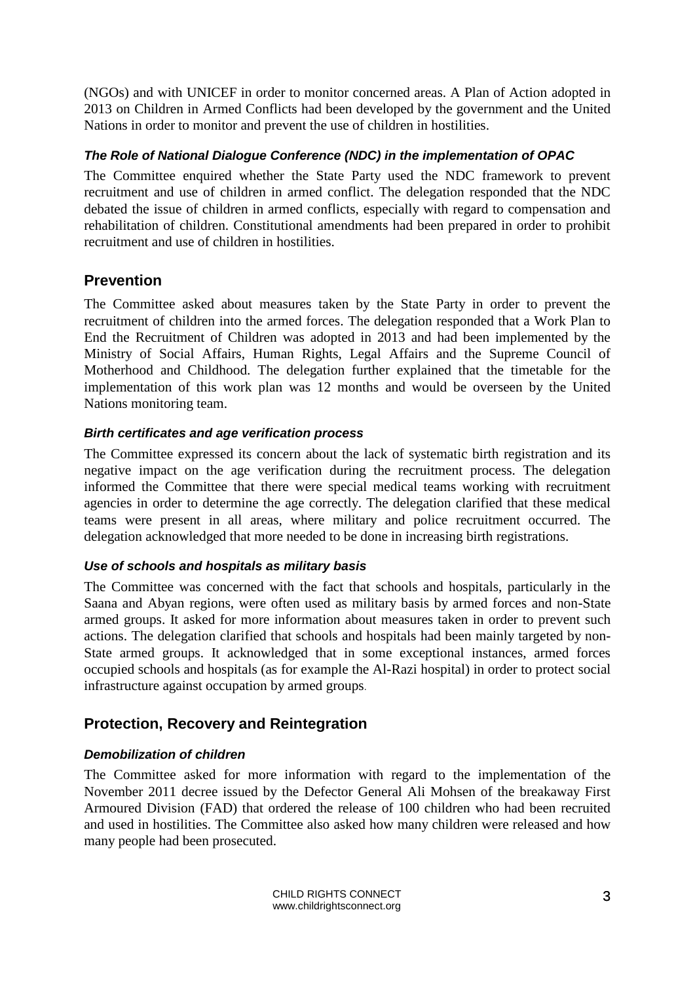(NGOs) and with UNICEF in order to monitor concerned areas. A Plan of Action adopted in 2013 on Children in Armed Conflicts had been developed by the government and the United Nations in order to monitor and prevent the use of children in hostilities.

## *The Role of National Dialogue Conference (NDC) in the implementation of OPAC*

The Committee enquired whether the State Party used the NDC framework to prevent recruitment and use of children in armed conflict. The delegation responded that the NDC debated the issue of children in armed conflicts, especially with regard to compensation and rehabilitation of children. Constitutional amendments had been prepared in order to prohibit recruitment and use of children in hostilities.

# <span id="page-2-0"></span>**Prevention**

The Committee asked about measures taken by the State Party in order to prevent the recruitment of children into the armed forces. The delegation responded that a Work Plan to End the Recruitment of Children was adopted in 2013 and had been implemented by the Ministry of Social Affairs, Human Rights, Legal Affairs and the Supreme Council of Motherhood and Childhood. The delegation further explained that the timetable for the implementation of this work plan was 12 months and would be overseen by the United Nations monitoring team.

## *Birth certificates and age verification process*

The Committee expressed its concern about the lack of systematic birth registration and its negative impact on the age verification during the recruitment process. The delegation informed the Committee that there were special medical teams working with recruitment agencies in order to determine the age correctly. The delegation clarified that these medical teams were present in all areas, where military and police recruitment occurred. The delegation acknowledged that more needed to be done in increasing birth registrations.

## *Use of schools and hospitals as military basis*

The Committee was concerned with the fact that schools and hospitals, particularly in the Saana and Abyan regions, were often used as military basis by armed forces and non-State armed groups. It asked for more information about measures taken in order to prevent such actions. The delegation clarified that schools and hospitals had been mainly targeted by non-State armed groups. It acknowledged that in some exceptional instances, armed forces occupied schools and hospitals (as for example the Al-Razi hospital) in order to protect social infrastructure against occupation by armed groups.

# <span id="page-2-1"></span>**Protection, Recovery and Reintegration**

# *Demobilization of children*

The Committee asked for more information with regard to the implementation of the November 2011 decree issued by the Defector General Ali Mohsen of the breakaway First Armoured Division (FAD) that ordered the release of 100 children who had been recruited and used in hostilities. The Committee also asked how many children were released and how many people had been prosecuted.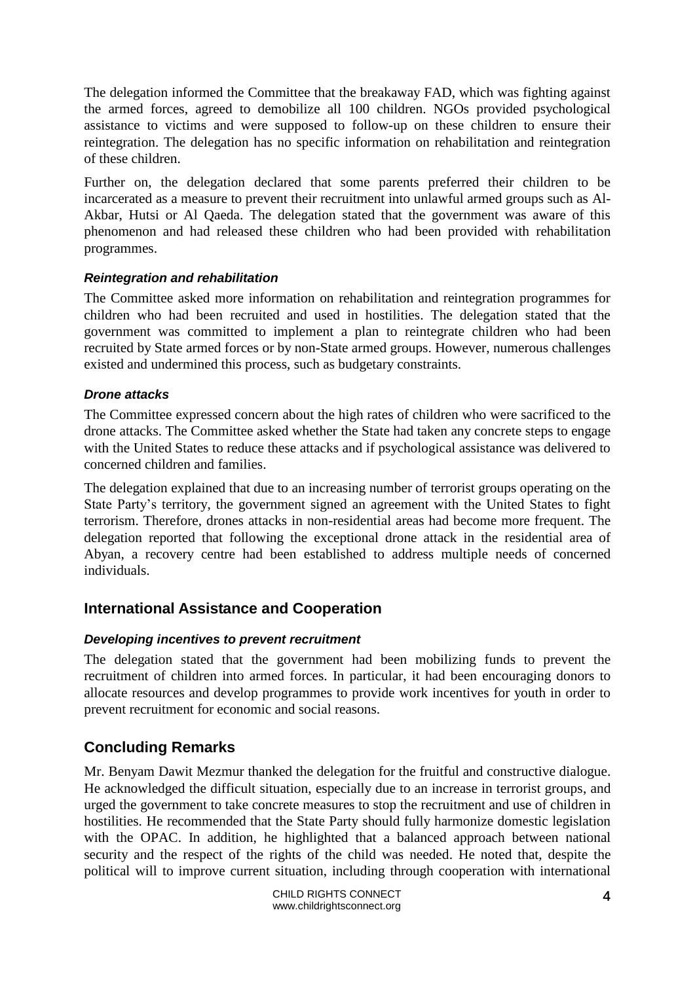The delegation informed the Committee that the breakaway FAD, which was fighting against the armed forces, agreed to demobilize all 100 children. NGOs provided psychological assistance to victims and were supposed to follow-up on these children to ensure their reintegration. The delegation has no specific information on rehabilitation and reintegration of these children.

Further on, the delegation declared that some parents preferred their children to be incarcerated as a measure to prevent their recruitment into unlawful armed groups such as Al-Akbar, Hutsi or Al Qaeda. The delegation stated that the government was aware of this phenomenon and had released these children who had been provided with rehabilitation programmes.

#### *Reintegration and rehabilitation*

The Committee asked more information on rehabilitation and reintegration programmes for children who had been recruited and used in hostilities. The delegation stated that the government was committed to implement a plan to reintegrate children who had been recruited by State armed forces or by non-State armed groups. However, numerous challenges existed and undermined this process, such as budgetary constraints.

#### *Drone attacks*

The Committee expressed concern about the high rates of children who were sacrificed to the drone attacks. The Committee asked whether the State had taken any concrete steps to engage with the United States to reduce these attacks and if psychological assistance was delivered to concerned children and families.

The delegation explained that due to an increasing number of terrorist groups operating on the State Party's territory, the government signed an agreement with the United States to fight terrorism. Therefore, drones attacks in non-residential areas had become more frequent. The delegation reported that following the exceptional drone attack in the residential area of Abyan, a recovery centre had been established to address multiple needs of concerned individuals.

# <span id="page-3-0"></span>**International Assistance and Cooperation**

#### *Developing incentives to prevent recruitment*

The delegation stated that the government had been mobilizing funds to prevent the recruitment of children into armed forces. In particular, it had been encouraging donors to allocate resources and develop programmes to provide work incentives for youth in order to prevent recruitment for economic and social reasons.

# <span id="page-3-1"></span>**Concluding Remarks**

Mr. Benyam Dawit Mezmur thanked the delegation for the fruitful and constructive dialogue. He acknowledged the difficult situation, especially due to an increase in terrorist groups, and urged the government to take concrete measures to stop the recruitment and use of children in hostilities. He recommended that the State Party should fully harmonize domestic legislation with the OPAC. In addition, he highlighted that a balanced approach between national security and the respect of the rights of the child was needed. He noted that, despite the political will to improve current situation, including through cooperation with international